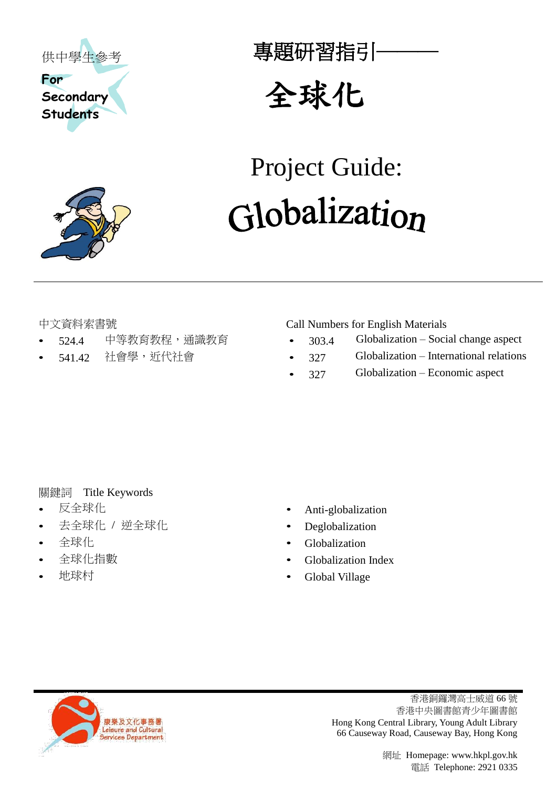



專題研習指引-



# Project Guide: Globalization

- 
- 

中文資料索書號 Call Numbers for English Materials

- 524.4 中等教育教程,通識教育 303.4 Globalization Social change aspect
- 541.42 社會學,近代社會 327 Globalization International relations
	- 327 Globalization Economic aspect

# 關鍵詞 Title Keywords

- 
- 去全球化 / 逆全球化 Deglobalization
- 
- 
- 
- 反全球化 Anti-globalization
	-
- 全球化 Globalization
	- 全球化指數 Globalization Index
	- 地球村 Global Village



香港銅鑼灣高士威道 66 號 香港中央圖書館青少年圖書館 Hong Kong Central Library, Young Adult Library 66 Causeway Road, Causeway Bay, Hong Kong

> 網址 Homepage: www.hkpl.gov.hk 電話 Telephone: 2921 0335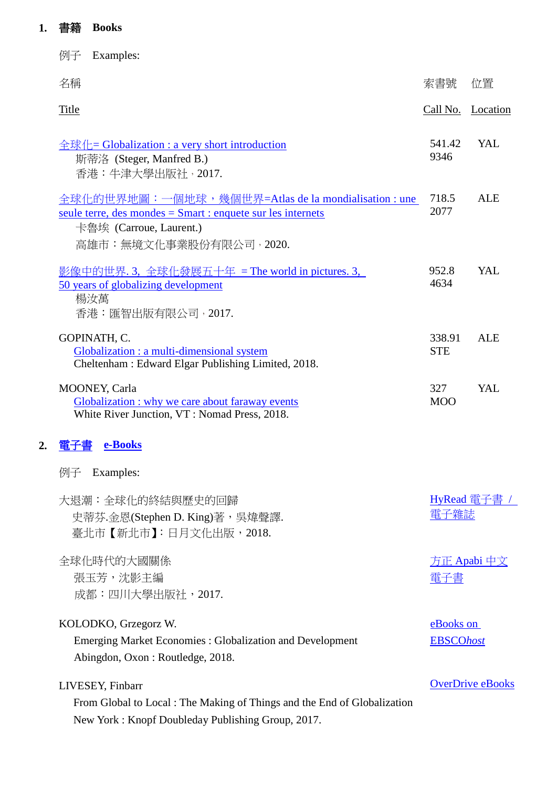# **1.** 書籍 **Books**

|    | Examples:<br>例子                                                                                                                                                           |                               |                         |
|----|---------------------------------------------------------------------------------------------------------------------------------------------------------------------------|-------------------------------|-------------------------|
|    | 名稱                                                                                                                                                                        | 索書號                           | 位置                      |
|    | <b>Title</b>                                                                                                                                                              |                               | Call No. Location       |
|    | 全球化= Globalization : a very short introduction<br>斯蒂洛 (Steger, Manfred B.)<br>香港:牛津大學出版社, 2017.                                                                           | 541.42<br>9346                | YAL                     |
|    | 全球化的世界地圖:一個地球,幾個世界=Atlas de la mondialisation : une<br>seule terre, des mondes $=$ Smart : enquete sur les internets<br>卡魯埃 (Carroue, Laurent.)<br>高雄市:無境文化事業股份有限公司,2020. | 718.5<br>2077                 | <b>ALE</b>              |
|    | 影像中的世界. 3, 全球化發展五十年 = The world in pictures. 3,<br>50 years of globalizing development<br>楊汝萬<br>香港:匯智出版有限公司,2017.                                                        | 952.8<br>4634                 | YAL                     |
|    | GOPINATH, C.<br>Globalization : a multi-dimensional system<br>Cheltenham: Edward Elgar Publishing Limited, 2018.                                                          | 338.91<br><b>STE</b>          | <b>ALE</b>              |
|    | MOONEY, Carla<br>Globalization : why we care about faraway events<br>White River Junction, VT: Nomad Press, 2018.                                                         | 327<br><b>MOO</b>             | YAL                     |
| 2. | 電子書<br>e-Books                                                                                                                                                            |                               |                         |
|    | 例子 Examples:                                                                                                                                                              |                               |                         |
|    | 大退潮:全球化的終結與歷史的回歸<br>史蒂芬.金恩(Stephen D. King)著,吳煒聲譯.<br>臺北市 【新北市】:日月文化出版,2018.                                                                                              | HyRead 電子書 /<br>電子雜誌          |                         |
|    | 全球化時代的大國關係<br>張玉芳,沈影主編<br>成都:四川大學出版社,2017.                                                                                                                                | 雷子書                           | 方正 Apabi 中文             |
|    | KOLODKO, Grzegorz W.<br><b>Emerging Market Economies: Globalization and Development</b><br>Abingdon, Oxon: Routledge, 2018.                                               | eBooks on<br><b>EBSCOhost</b> |                         |
|    | LIVESEY, Finbarr<br>From Global to Local: The Making of Things and the End of Globalization<br>New York: Knopf Doubleday Publishing Group, 2017.                          |                               | <b>OverDrive eBooks</b> |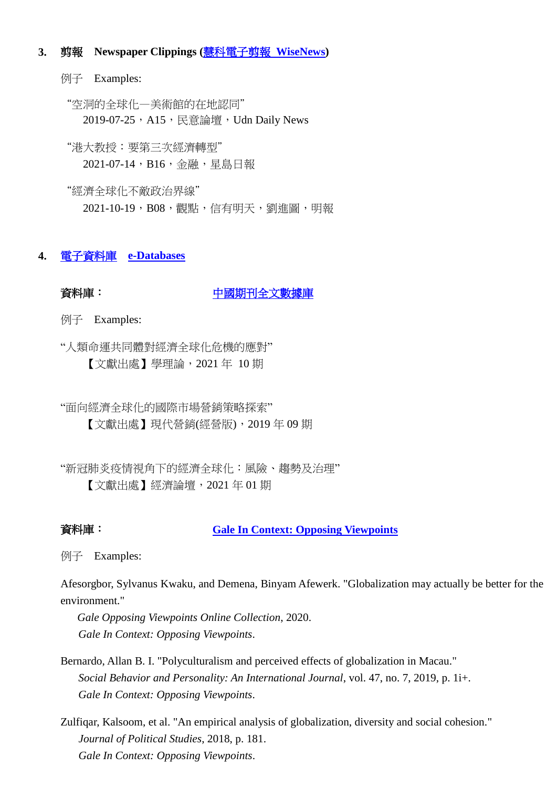## **3.** 剪報 **Newspaper Clippings (**[慧科電子剪報](https://www.hkpl.gov.hk/tc/e-resources/e-databases/home/library/3) **WiseNews)**

例子 Examples:

"空洞的全球化—美術館的在地認同" 2019-07-25, A15, 民意論壇, Udn Daily News

"港大教授:要第三次經濟轉型" 2021-07-14, B16, 金融, 星島日報

"經濟全球化不敵政治界線" 2021-10-19,B08,觀點,信有明天,劉進圖,明報

# **4.** [電子資料庫](https://www.hkpl.gov.hk/tc/e-resources/e-databases/home/all/1) **[e-Databases](https://www.hkpl.gov.hk/en/e-resources/e-databases/home/all/1)**

音料庫: [中國期刊全文數據庫](https://www.hkpl.gov.hk/tc/e-resources/e-databases/disclaimer/8252/china-academic-journals-full-text-database-cjfd)

例子 Examples:

"人類命運共同體對經濟全球化危機的應對" 【文獻出處】學理論,2021 年 10 期

"面向經濟全球化的國際市場營銷策略探索" 【文獻出處】現代營銷(經營版),2019 年 09 期

"新冠肺炎疫情視角下的經濟全球化:風險、趨勢及治理" 【文獻出處】經濟論壇,2021 年 01 期

### 資料庫: **[Gale In Context: Opposing Viewpoints](https://www.hkpl.gov.hk/tc/e-resources/e-databases/disclaimer/158664/gale-in-context-opposing-viewpoints)**

例子 Examples:

Afesorgbor, Sylvanus Kwaku, and Demena, Binyam Afewerk. "Globalization may actually be better for the environment."

*Gale Opposing Viewpoints Online Collection*, 2020. *Gale In Context: Opposing Viewpoints*.

Bernardo, Allan B. I. "Polyculturalism and perceived effects of globalization in Macau." *Social Behavior and Personality: An International Journal*, vol. 47, no. 7, 2019, p. 1i+. *Gale In Context: Opposing Viewpoints*.

Zulfiqar, Kalsoom, et al. "An empirical analysis of globalization, diversity and social cohesion." *Journal of Political Studies*, 2018, p. 181. *Gale In Context: Opposing Viewpoints*.